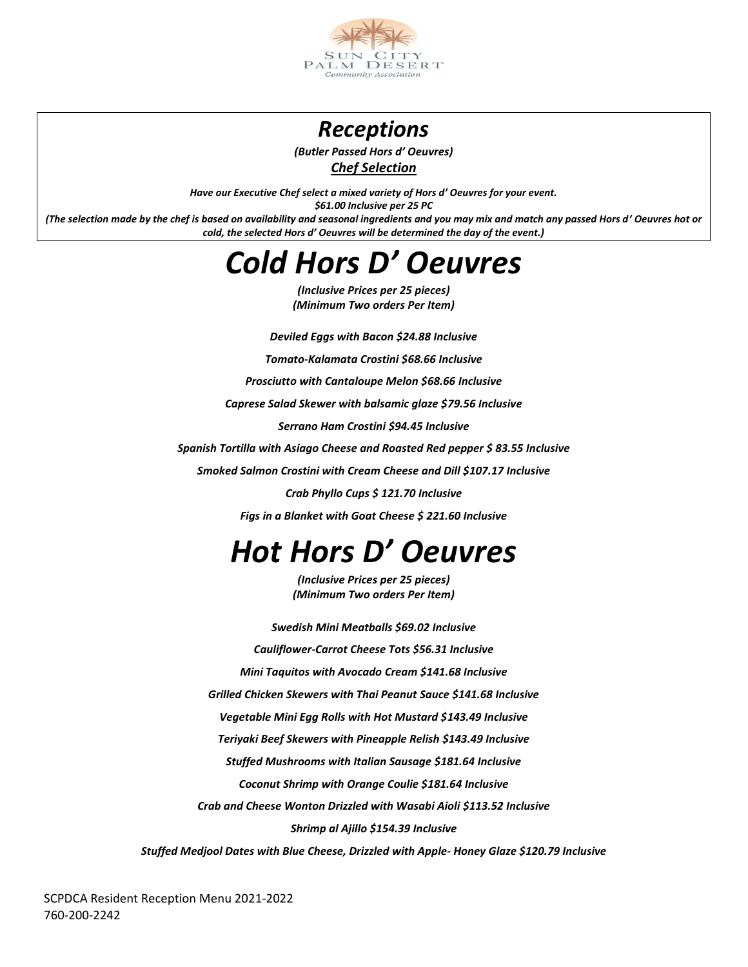

### *Receptions*

*(Butler Passed Hors d' Oeuvres) Chef Selection* 

*Have our Executive Chef select a mixed variety of Hors d' Oeuvres for your event. \$61.00 Inclusive per 25 PC (The selection made by the chef is based on availability and seasonal ingredients and you may mix and match any passed Hors d' Oeuvres hot or cold, the selected Hors d' Oeuvres will be determined the day of the event.)* 

## *Cold Hors D' Oeuvres*

*(Inclusive Prices per 25 pieces) (Minimum Two orders Per Item)*

*Deviled Eggs with Bacon \$24.88 Inclusive*

*Tomato-Kalamata Crostini \$68.66 Inclusive* 

*Prosciutto with Cantaloupe Melon \$68.66 Inclusive* 

*Caprese Salad Skewer with balsamic glaze \$79.56 Inclusive*

*Serrano Ham Crostini \$94.45 Inclusive* 

*Spanish Tortilla with Asiago Cheese and Roasted Red pepper \$ 83.55 Inclusive*

*Smoked Salmon Crostini with Cream Cheese and Dill \$107.17 Inclusive* 

*Crab Phyllo Cups \$ 121.70 Inclusive*

*Figs in a Blanket with Goat Cheese \$ 221.60 Inclusive*

# *Hot Hors D' Oeuvres*

*(Inclusive Prices per 25 pieces) (Minimum Two orders Per Item)*

*Swedish Mini Meatballs \$69.02 Inclusive Cauliflower-Carrot Cheese Tots \$56.31 Inclusive Mini Taquitos with Avocado Cream \$141.68 Inclusive Grilled Chicken Skewers with Thai Peanut Sauce \$141.68 Inclusive Vegetable Mini Egg Rolls with Hot Mustard \$143.49 Inclusive Teriyaki Beef Skewers with Pineapple Relish \$143.49 Inclusive Stuffed Mushrooms with Italian Sausage \$181.64 Inclusive Coconut Shrimp with Orange Coulie \$181.64 Inclusive Crab and Cheese Wonton Drizzled with Wasabi Aioli \$113.52 Inclusive Shrimp al Ajillo \$154.39 Inclusive*

*Stuffed Medjool Dates with Blue Cheese, Drizzled with Apple- Honey Glaze \$120.79 Inclusive*